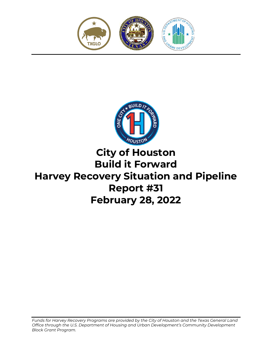



# **City of Houston Build it Forward Harvey Recovery Situation and Pipeline Report #31 February 28, 2022**

*Funds for Harvey Recovery Programs are provided by the City of Houston and the Texas General Land Office through the U.S. Department of Housing and Urban Development's Community Development Block Grant Program.*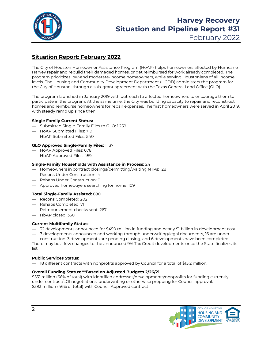

# **Harvey Recovery Situation and Pipeline Report #31**

February 2022

# **Situation Report: February 2022**

The City of Houston Homeowner Assistance Program (HoAP) helps homeowners affected by Hurricane Harvey repair and rebuild their damaged homes, or get reimbursed for work already completed. The program prioritizes low-and moderate-income homeowners, while serving Houstonians of all income levels. The Housing and Community Development Department (HCDD) administers the program for the City of Houston, through a sub-grant agreement with the Texas General Land Office (GLO)

The program launched in January 2019 with outreach to affected homeowners to encourage them to participate in the program. At the same time, the City was building capacity to repair and reconstruct homes and reimburse homeowners for repair expenses. The first homeowners were served in April 2019, with steady ramp up since then.

## **Single Family Current Status:**

- $-$  Submitted Single-Family Files to GLO: 1,259
- HoAP Submitted Files: 719
- HbAP Submitted Files: 540

## **GLO Approved Single-Family Files:** 1,137

- $-$  HoAP Approved Files: 678
- $-$  HbAP Approved Files: 459

#### **Single-Family Households with Assistance in Process:** 241

- $-$  Homeowners in contract closings/permitting/waiting NTPs: 128
- $-$  Recons Under Construction: 4
- Rehabs Under Construction: 0
- Approved homebuyers searching for home: 109

## **Total Single-Family Assisted:** 890

- Recons Completed: 202
- $-$  Rehabs Completed: 71
- Reimbursement checks sent: 267
- HbAP closed: 350

## **Current Multifamily Status:**

- 32 developments announced for \$450 million in funding and nearly \$1 billion in development cost
- 7 developments announced and working through underwriting/legal documents, 16 are under construction, 3 developments are pending closing, and 6 developments have been completed

There may be a few changes to the announced 9% Tax Credit developments once the State finalizes its list

#### **Public Services Status:**

 $-$  18 different contracts with nonprofits approved by Council for a total of \$15.2 million.

## **Overall Funding Status: \*\*Based on Adjusted Budgets 2/26/21**

\$551 million (66% of total) with identified addresses/developments/nonprofits for funding currently under contract/LOI negotiations, underwriting or otherwise prepping for Council approval. \$393 million (46% of total) with Council Approved contract

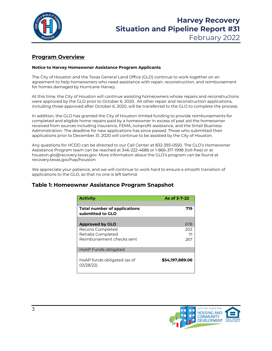

## **Program Overview**

#### **Notice to Harvey Homeowner Assistance Program Applicants**

The City of Houston and the Texas General Land Office (GLO) continue to work together on an agreement to help homeowners who need assistance with repair, reconstruction, and reimbursement for homes damaged by Hurricane Harvey.

At this time, the City of Houston will continue assisting homeowners whose repairs and reconstructions were approved by the GLO prior to October 6, 2020. All other repair and reconstruction applications, including those approved after October 6, 2020, will be transferred to the GLO to complete the process.

In addition, the GLO has granted the City of Houston limited funding to provide reimbursements for completed and eligible home repairs paid by a homeowner in excess of past aid the homeowner received from sources including insurance, FEMA, nonprofit assistance, and the Small Business Administration. The deadline for new applications has since passed. Those who submitted their applications prior to December 31, 2020 will continue to be assisted by the City of Houston.

Any questions for HCDD can be directed to our Call Center at 832-393-0550. The GLO's Homeowner Assistance Program team can be reached at 346-222-4686 or 1-866-317-1998 (toll-free) or at houston.glo@recovery.texas.gov. More information about the GLO's program can be found at recovery.texas.gov/hap/houston

We appreciate your patience, and we will continue to work hard to ensure a smooth transition of applications to the GLO, so that no one is left behind.

## **Table 1: Homeowner Assistance Program Snapshot**

| <b>Activity</b>                                         | As of 3-7-22    |
|---------------------------------------------------------|-----------------|
|                                                         |                 |
| <b>Total number of applications</b><br>submitted to GLO | 719             |
|                                                         |                 |
| <b>Approved by GLO</b>                                  | 678             |
| Recons Completed                                        | 202             |
| Rehabs Completed                                        | 71              |
| Reimbursement checks sent                               | 267             |
| <b>HoAP Funds obligated</b>                             |                 |
| HoAP funds obligated (as of<br>02/28/22)                | \$54,197,889,06 |

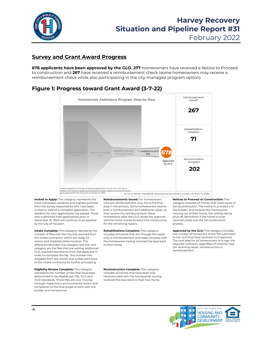

## **Survey and Grant Award Progress**

**678 applicants have been approved by the GLO. 277** homeowners have received a Notice to Proceed to construction and **267** have received a reimbursement check (some homeowners may receive a reimbursement check while also participating in the city-managed program option).

## **Figure 1: Progress toward Grant Award (3-7-22)**



**Invited to Apply:** This category represents the most vulnerable residents and highest priorities from the survey respondents who have been invited to submit a complete application. The deadline for new applications has passed. Those who submitted their applications prior to December 31, 2020 will continue to be assisted by the City of Houston.

**Intake Complete:** This category represents the number of files that the City has received from the intake contractor, which are ready for review and eligibility determination. The difference between this category and the next category are the files that are waiting additional GLO-required documents from the applicant in order to complete the file. This number has dropped from last month due to files sent back to the intake contractor for further processing.

**Eligibility Review Complete:** This category represents the number of files that have been determined to be eligible per City, GLO and HUD standards. These files are now moving through inspections, environmental review and completion of the final scope of work with the builder and homeowner.

**Reimbursements Issued:** For homeowners who are reimbursement only, this is the final step in the process. Some homeowners receive both a reimbursement and additional repair, so they receive the reimbursement check immediately after the GLO issues the approval. and the home moves forward into construction for the remaining repairs.

**Rehabilitations Complete:** This category includes all homes that are through the repair only or reimbursement and repair process, with the homeowner having received the keys back to their home.

**Notices to Proceed w/ Construction:** This category includes all homes that need repair or full reconstruction. The notice to proceed is to the builder, and involves the homeowner moving out of their home, the utilities being shut off, demolition if the home is to be reconstructed, and the full construction process.

**Approved by the GLO:** This category includes the number of homes out of the 719 submitted to the GLO that have received GLO approval. The next step for all homeowners is to sign the required contracts, regardless of whether they are receiving repair, reconstruction or reimbursement.

**Reconstruction Complete:** This category includes all homes that have been fully reconstructed with the homeowner having received the keys back to their new home.

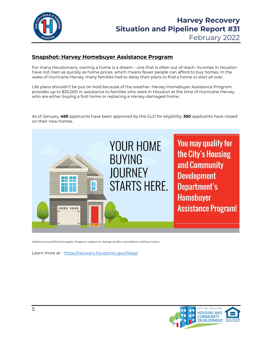

# **Snapshot: Harvey Homebuyer Assistance Program**

For many Houstonians, owning a home is a dream – one that is often out of reach. Incomes in Houston have not risen as quickly as home prices, which means fewer people can afford to buy homes. In the wake of Hurricane Harvey, many families had to delay their plans to find a home or start all over.

Life plans shouldn't be put on hold because of the weather. Harvey Homebuyer Assistance Program provides up to \$30,000 in assistance to families who were in Houston at the time of Hurricane Harvey, who are either buying a first home or replacing a Harvey-damaged home.

As of January, **459** applicants have been approved by the GLO for eligibility. **350** applicants have closed on their new homes.



*Additional qualifications apply. Program subject to change and/or cancellation without notice.* 

Learn more at - <https://recovery.houstontx.gov/hbap/>

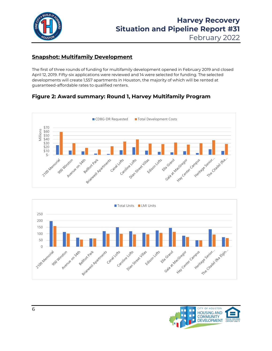

February 2022

# **Snapshot: Multifamily Development**

The first of three rounds of funding for multifamily development opened in February 2019 and closed April 12, 2019. Fifty-six applications were reviewed and 14 were selected for funding. The selected developments will create 1,557 apartments in Houston, the majority of which will be rented at guaranteed-affordable rates to qualified renters.

# **Figure 2: Award summary: Round 1, Harvey Multifamily Program**





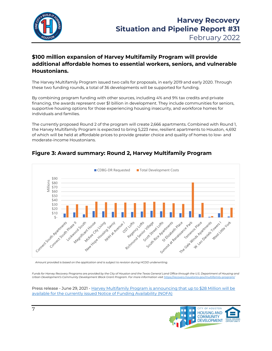

## **\$100 million expansion of Harvey Multifamily Program will provide additional affordable homes to essential workers, seniors, and vulnerable Houstonians.**

The Harvey Multifamily Program issued two calls for proposals, in early 2019 and early 2020. Through these two funding rounds, a total of 36 developments will be supported for funding.

By combining program funding with other sources, including 4% and 9% tax credits and private financing, the awards represent over \$1 billion in development. They include communities for seniors, supportive housing options for those experiencing housing insecurity, and workforce homes for individuals and families.

The currently proposed Round 2 of the program will create 2,666 apartments. Combined with Round 1, the Harvey Multifamily Program is expected to bring 5,223 new, resilient apartments to Houston, 4,692 of which will be held at affordable prices to provide greater choice and quality of homes to low- and moderate-income Houstonians.



# **Figure 3: Award summary: Round 2, Harvey Multifamily Program**

*Amount provided is based on the application and is subject to revision during HCDD underwriting.*

*Funds for Harvey Recovery Programs are provided by the City of Houston and the Texas General Land Office through the U.S. Department of Housing and Urban Development's Community Development Block Grant Program. For more information visi[t https://recovery.houstontx.gov/multifamily-program/](https://recovery.houstontx.gov/multifamily-program/)*

Press release - June 29, 2021 - [Harvey Multifamily Program is announcing that up to \\$28 Million will be](https://recovery.houstontx.gov/harvey-multifamily-program-is-announcing-that-up-to-28-million-will-be-available-for-the-currently-issued-notice-of-funding-availability-nofa/)  [available for the currently issued Notice of Funding Availability \(NOFA\)](https://recovery.houstontx.gov/harvey-multifamily-program-is-announcing-that-up-to-28-million-will-be-available-for-the-currently-issued-notice-of-funding-availability-nofa/)

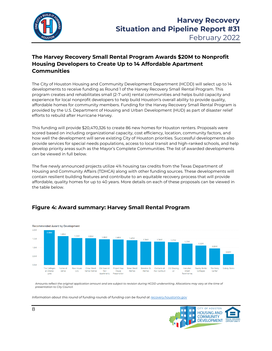

# **The Harvey Recovery Small Rental Program Awards \$20M to Nonprofit Housing Developers to Create Up to 14 Affordable Apartment Communities**

The City of Houston Housing and Community Development Department (HCDD) will select up to 14 developments to receive funding as Round 1 of the Harvey Recovery Small Rental Program. This program creates and rehabilitates small (2-7 unit) rental communities and helps build capacity and experience for local nonprofit developers to help build Houston's overall ability to provide quality, affordable homes for community members. Funding for the Harvey Recovery Small Rental Program is provided by the U.S. Department of Housing and Urban Development (HUD) as part of disaster relief efforts to rebuild after Hurricane Harvey.

This funding will provide \$20,470,326 to create 86 new homes for Houston renters. Proposals were scored based on including organizational capacity, cost efficiency, location, community factors, and how well the development will serve existing City of Houston priorities. Successful developments also provide services for special needs populations, access to local transit and high-ranked schools, and help develop priority areas such as the Mayor's Complete Communities. The list of awarded developments can be viewed in full below.

The five newly announced projects utilize 4% housing tax credits from the Texas Department of Housing and Community Affairs (TDHCA) along with other funding sources. These developments will contain resilient building features and contribute to an equitable recovery process that will provide affordable, quality homes for up to 40 years. More details on each of these proposals can be viewed in the table below.

## **Figure 4: Award summary: Harvey Small Rental Program**



*Amounts reflect the original application amount and are subject to revision during HCDD underwriting. Allocations may vary at the time of presentation to City Council.*

*Information about this round of funding rounds of funding can be found a[t recovery.houstontx.gov](https://recovery.houstontx.gov/hsrp/)*